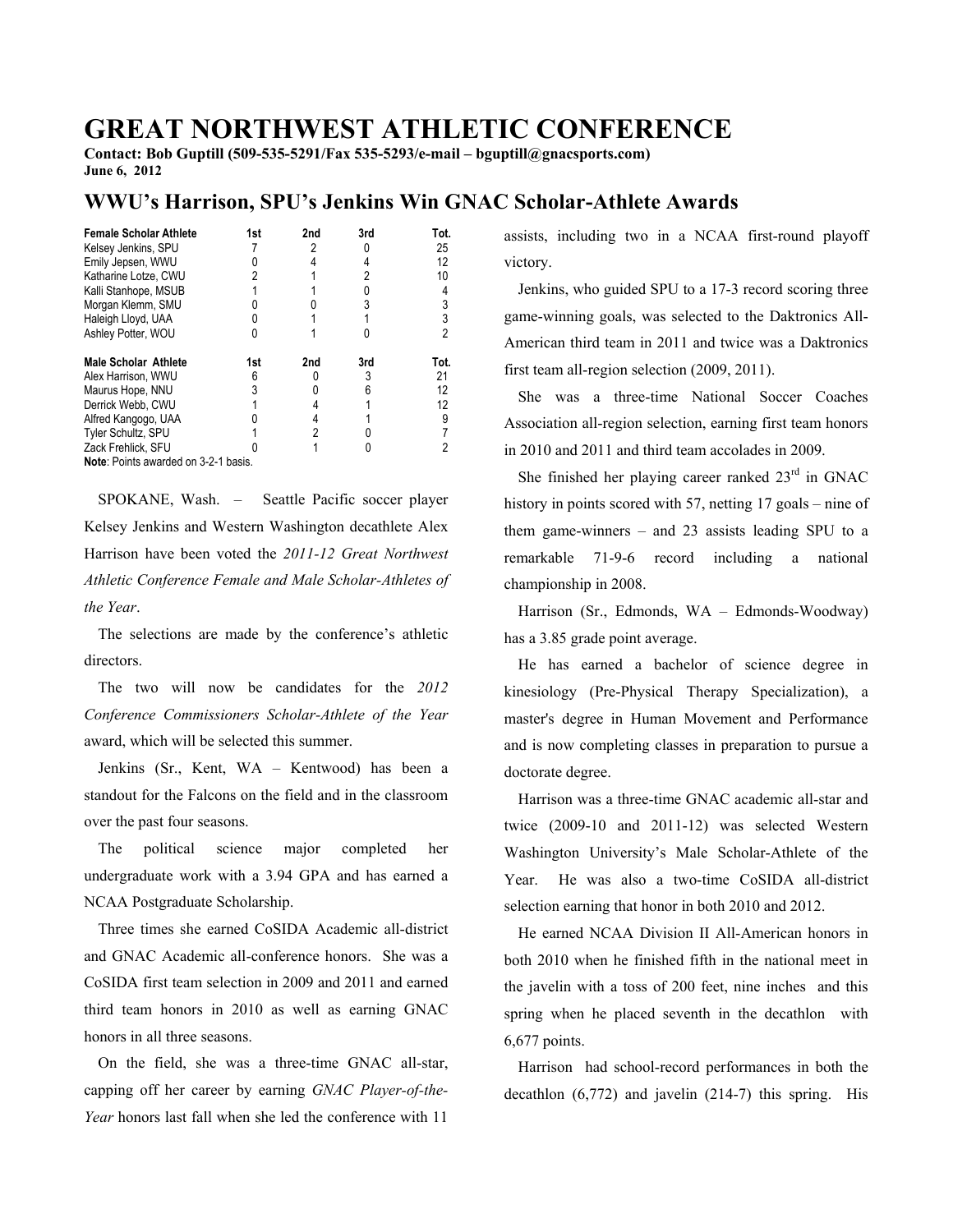## **GREAT NORTHWEST ATHLETIC CONFERENCE**

**Contact: Bob Guptill (509-535-5291/Fax 535-5293/e-mail – bguptill@gnacsports.com) June 6, 2012** 

## **WWU's Harrison, SPU's Jenkins Win GNAC Scholar-Athlete Awards**

| <b>Female Scholar Athlete</b>        | 1st | 2nd | 3rd | Tot. |
|--------------------------------------|-----|-----|-----|------|
| Kelsey Jenkins, SPU                  |     |     |     | 25   |
| Emily Jepsen, WWU                    |     |     |     | 12   |
| Katharine Lotze, CWU                 |     |     |     | 10   |
| Kalli Stanhope, MSUB                 |     |     |     |      |
| Morgan Klemm, SMU                    |     |     |     | 3    |
| Haleigh Lloyd, UAA                   |     |     |     | 3    |
| Ashley Potter, WOU                   |     |     |     | 2    |
| <b>Male Scholar Athlete</b>          | 1st | 2nd | 3rd | Tot. |
| Alex Harrison, WWU                   |     |     |     | 21   |
| Maurus Hope, NNU                     |     |     |     | 12   |
| Derrick Webb, CWU                    |     |     |     | 12   |
| Alfred Kangogo, UAA                  |     |     |     | 9    |
| Tyler Schultz, SPU                   |     |     |     |      |
| Zack Frehlick, SFU                   |     |     |     |      |
| Note: Points awarded on 3-2-1 basis. |     |     |     |      |

 SPOKANE, Wash. – Seattle Pacific soccer player Kelsey Jenkins and Western Washington decathlete Alex Harrison have been voted the *2011-12 Great Northwest Athletic Conference Female and Male Scholar-Athletes of the Year*.

 The selections are made by the conference's athletic directors.

 The two will now be candidates for the *2012 Conference Commissioners Scholar-Athlete of the Year*  award, which will be selected this summer.

 Jenkins (Sr., Kent, WA – Kentwood) has been a standout for the Falcons on the field and in the classroom over the past four seasons.

 The political science major completed her undergraduate work with a 3.94 GPA and has earned a NCAA Postgraduate Scholarship.

 Three times she earned CoSIDA Academic all-district and GNAC Academic all-conference honors. She was a CoSIDA first team selection in 2009 and 2011 and earned third team honors in 2010 as well as earning GNAC honors in all three seasons.

 On the field, she was a three-time GNAC all-star, capping off her career by earning *GNAC Player-of-the-Year* honors last fall when she led the conference with 11

assists, including two in a NCAA first-round playoff victory.

 Jenkins, who guided SPU to a 17-3 record scoring three game-winning goals, was selected to the Daktronics All-American third team in 2011 and twice was a Daktronics first team all-region selection (2009, 2011).

 She was a three-time National Soccer Coaches Association all-region selection, earning first team honors in 2010 and 2011 and third team accolades in 2009.

She finished her playing career ranked  $23<sup>rd</sup>$  in GNAC history in points scored with 57, netting 17 goals – nine of them game-winners – and 23 assists leading SPU to a remarkable 71-9-6 record including a national championship in 2008.

 Harrison (Sr., Edmonds, WA – Edmonds-Woodway) has a 3.85 grade point average.

 He has earned a bachelor of science degree in kinesiology (Pre-Physical Therapy Specialization), a master's degree in Human Movement and Performance and is now completing classes in preparation to pursue a doctorate degree.

 Harrison was a three-time GNAC academic all-star and twice (2009-10 and 2011-12) was selected Western Washington University's Male Scholar-Athlete of the Year. He was also a two-time CoSIDA all-district selection earning that honor in both 2010 and 2012.

 He earned NCAA Division II All-American honors in both 2010 when he finished fifth in the national meet in the javelin with a toss of 200 feet, nine inches and this spring when he placed seventh in the decathlon with 6,677 points.

 Harrison had school-record performances in both the decathlon (6,772) and javelin (214-7) this spring. His